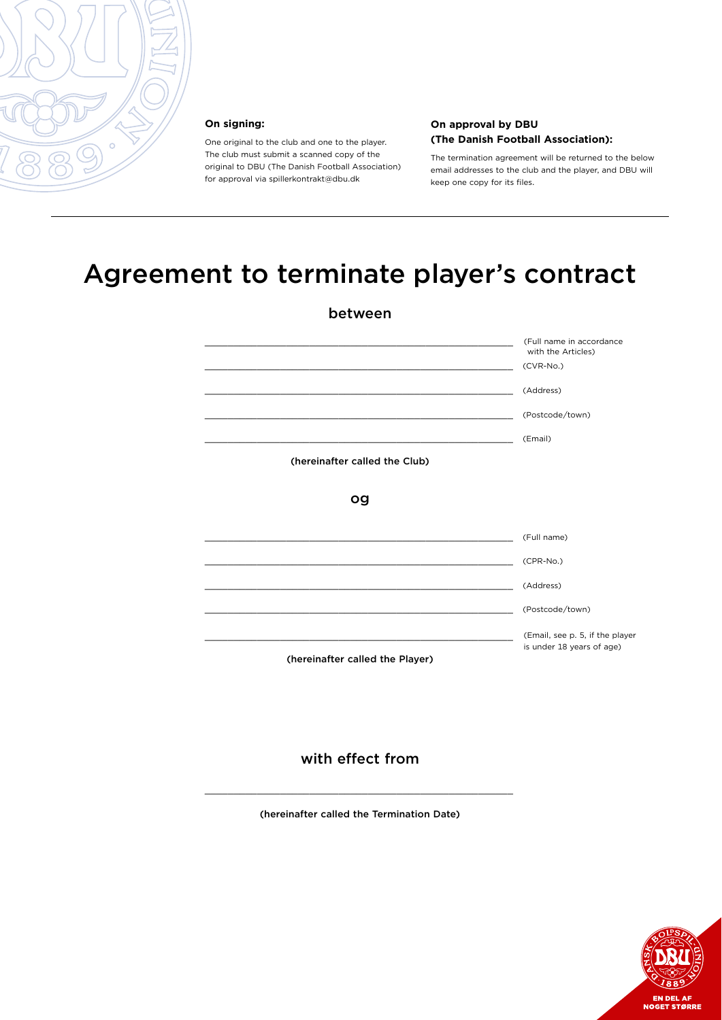

#### **On signing:**

One original to the club and one to the player. The club must submit a scanned copy of the original to DBU (The Danish Football Association) for approval via spillerkontrakt@dbu.dk

#### **On approval by DBU (The Danish Football Association):**

The termination agreement will be returned to the below email addresses to the club and the player, and DBU will keep one copy for its files.

# Agreement to terminate player's contract

| between                                                                                                              |                                                              |
|----------------------------------------------------------------------------------------------------------------------|--------------------------------------------------------------|
|                                                                                                                      | (Full name in accordance<br>with the Articles)               |
| <u> 1980 - Johann Barn, margaret amerikan basar dan berasal di basa dan berasal di basa dan berasal di basa dala</u> | (CVR-No.)                                                    |
|                                                                                                                      | (Address)                                                    |
|                                                                                                                      | (Postcode/town)                                              |
|                                                                                                                      | (Email)                                                      |
| (hereinafter called the Club)                                                                                        |                                                              |
| og                                                                                                                   |                                                              |
|                                                                                                                      | (Full name)                                                  |
|                                                                                                                      | (CPR-No.)                                                    |
|                                                                                                                      | (Address)                                                    |
|                                                                                                                      | (Postcode/town)                                              |
| (hereinafter called the Player)                                                                                      | (Email, see p. 5, if the player<br>is under 18 years of age) |

#### with effect from

(hereinafter called the Termination Date)

 $\overline{\phantom{a}}$  , and the contract of the contract of the contract of the contract of the contract of the contract of the contract of the contract of the contract of the contract of the contract of the contract of the contrac

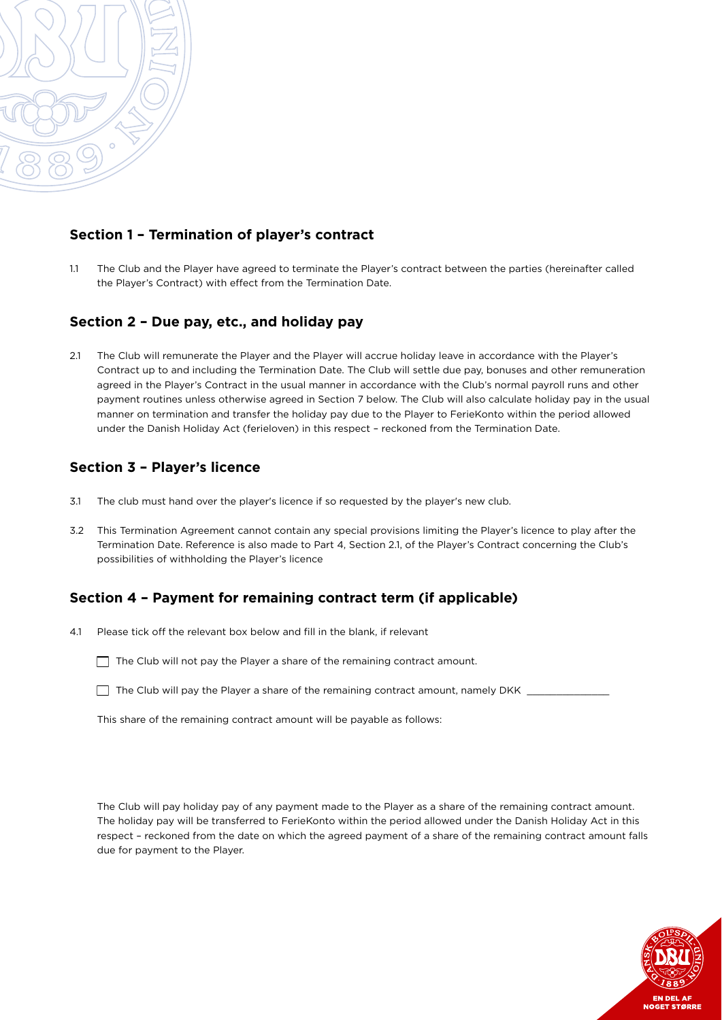

#### **Section 1 – Termination of player's contract**

1.1 The Club and the Player have agreed to terminate the Player's contract between the parties (hereinafter called the Player's Contract) with effect from the Termination Date.

#### **Section 2 – Due pay, etc., and holiday pay**

2.1 The Club will remunerate the Player and the Player will accrue holiday leave in accordance with the Player's Contract up to and including the Termination Date. The Club will settle due pay, bonuses and other remuneration agreed in the Player's Contract in the usual manner in accordance with the Club's normal payroll runs and other payment routines unless otherwise agreed in Section 7 below. The Club will also calculate holiday pay in the usual manner on termination and transfer the holiday pay due to the Player to FerieKonto within the period allowed under the Danish Holiday Act (ferieloven) in this respect – reckoned from the Termination Date.

### **Section 3 – Player's licence**

- 3.1 The club must hand over the player's licence if so requested by the player's new club.
- 3.2 This Termination Agreement cannot contain any special provisions limiting the Player's licence to play after the Termination Date. Reference is also made to Part 4, Section 2.1, of the Player's Contract concerning the Club's possibilities of withholding the Player's licence

#### **Section 4 – Payment for remaining contract term (if applicable)**

- 4.1 Please tick off the relevant box below and fill in the blank, if relevant
	- $\Box$  The Club will not pay the Player a share of the remaining contract amount.
	- $\Box$  The Club will pay the Player a share of the remaining contract amount, namely DKK  $\Box$

This share of the remaining contract amount will be payable as follows:

The Club will pay holiday pay of any payment made to the Player as a share of the remaining contract amount. The holiday pay will be transferred to FerieKonto within the period allowed under the Danish Holiday Act in this respect – reckoned from the date on which the agreed payment of a share of the remaining contract amount falls due for payment to the Player.

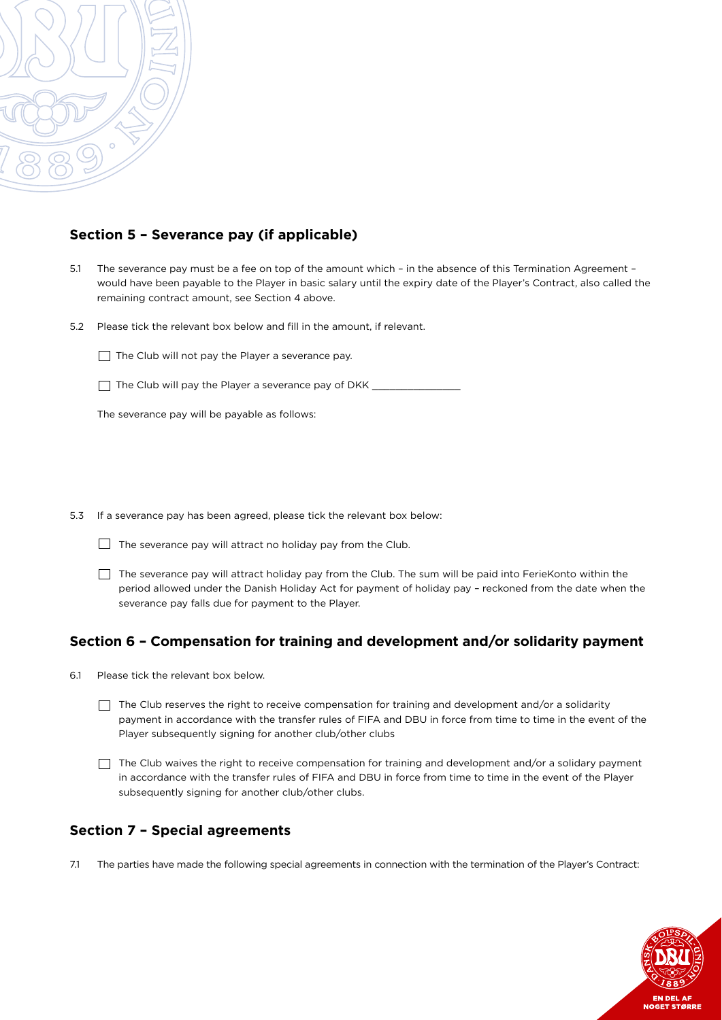

#### **Section 5 – Severance pay (if applicable)**

- 5.1 The severance pay must be a fee on top of the amount which in the absence of this Termination Agreement would have been payable to the Player in basic salary until the expiry date of the Player's Contract, also called the remaining contract amount, see Section 4 above.
- 5.2 Please tick the relevant box below and fill in the amount, if relevant.

 $\Box$  The Club will not pay the Player a severance pay.

The Club will pay the Player a severance pay of DKK \_\_\_\_\_\_\_\_\_\_\_\_\_\_\_\_\_\_\_\_\_\_\_\_\_\_\_\_

The severance pay will be payable as follows:

5.3 If a severance pay has been agreed, please tick the relevant box below:

 $\Box$  The severance pay will attract no holiday pay from the Club.

 $\Box$  The severance pay will attract holiday pay from the Club. The sum will be paid into FerieKonto within the period allowed under the Danish Holiday Act for payment of holiday pay – reckoned from the date when the severance pay falls due for payment to the Player.

#### **Section 6 – Compensation for training and development and/or solidarity payment**

6.1 Please tick the relevant box below.

 The Club reserves the right to receive compensation for training and development and/or a solidarity payment in accordance with the transfer rules of FIFA and DBU in force from time to time in the event of the Player subsequently signing for another club/other clubs

 $\Box$  The Club waives the right to receive compensation for training and development and/or a solidary payment in accordance with the transfer rules of FIFA and DBU in force from time to time in the event of the Player subsequently signing for another club/other clubs.

#### **Section 7 – Special agreements**

7.1 The parties have made the following special agreements in connection with the termination of the Player's Contract:

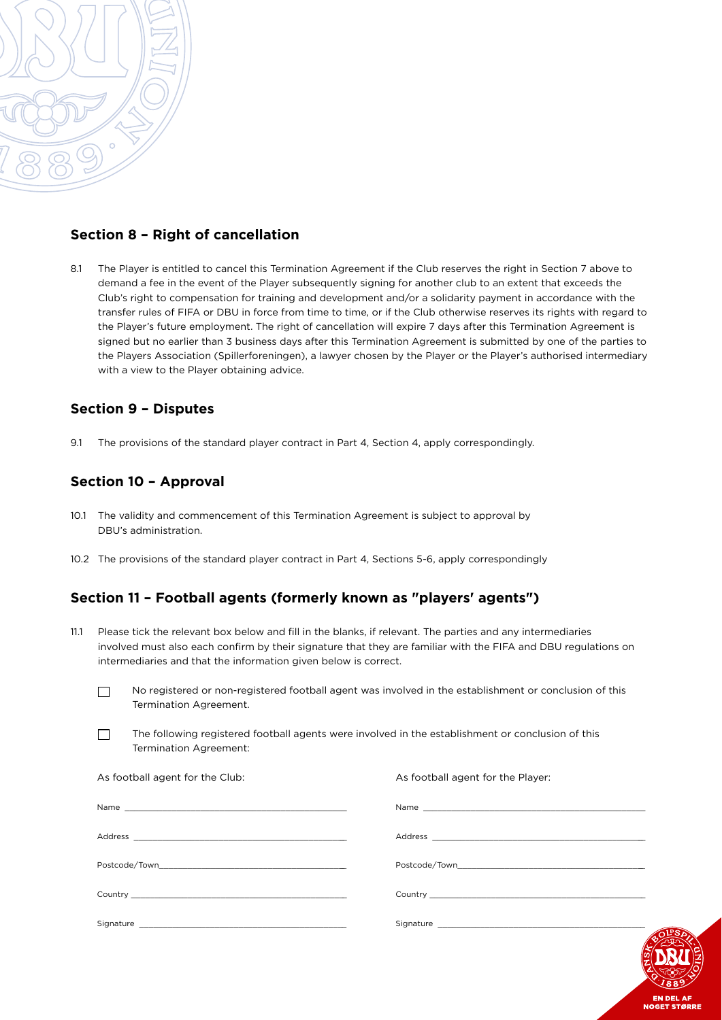

#### **Section 8 – Right of cancellation**

8.1 The Player is entitled to cancel this Termination Agreement if the Club reserves the right in Section 7 above to demand a fee in the event of the Player subsequently signing for another club to an extent that exceeds the Club's right to compensation for training and development and/or a solidarity payment in accordance with the transfer rules of FIFA or DBU in force from time to time, or if the Club otherwise reserves its rights with regard to the Player's future employment. The right of cancellation will expire 7 days after this Termination Agreement is signed but no earlier than 3 business days after this Termination Agreement is submitted by one of the parties to the Players Association (Spillerforeningen), a lawyer chosen by the Player or the Player's authorised intermediary with a view to the Player obtaining advice.

#### **Section 9 – Disputes**

9.1 The provisions of the standard player contract in Part 4, Section 4, apply correspondingly.

#### **Section 10 – Approval**

- 10.1 The validity and commencement of this Termination Agreement is subject to approval by DBU's administration.
- 10.2 The provisions of the standard player contract in Part 4, Sections 5-6, apply correspondingly

#### **Section 11 – Football agents (formerly known as "players' agents")**

- 11.1 Please tick the relevant box below and fill in the blanks, if relevant. The parties and any intermediaries involved must also each confirm by their signature that they are familiar with the FIFA and DBU regulations on intermediaries and that the information given below is correct.
	- No registered or non-registered football agent was involved in the establishment or conclusion of this Termination Agreement.
	- The following registered football agents were involved in the establishment or conclusion of this Termination Agreement:

| As football agent for the Club: | As football agent for the Player: |
|---------------------------------|-----------------------------------|
|                                 |                                   |
|                                 |                                   |
|                                 |                                   |
|                                 |                                   |
|                                 |                                   |